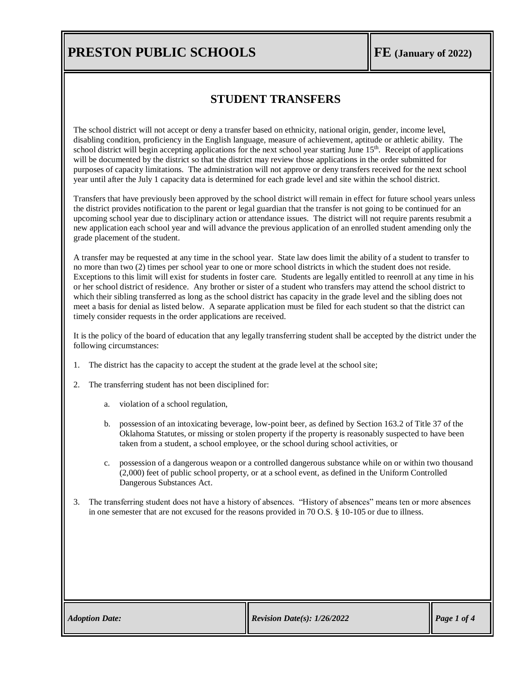## **PRESTON PUBLIC SCHOOLS FE** *FE FE FE*

### **STUDENT TRANSFERS**

The school district will not accept or deny a transfer based on ethnicity, national origin, gender, income level, disabling condition, proficiency in the English language, measure of achievement, aptitude or athletic ability. The school district will begin accepting applications for the next school year starting June 15<sup>th</sup>. Receipt of applications will be documented by the district so that the district may review those applications in the order submitted for purposes of capacity limitations. The administration will not approve or deny transfers received for the next school year until after the July 1 capacity data is determined for each grade level and site within the school district.

Transfers that have previously been approved by the school district will remain in effect for future school years unless the district provides notification to the parent or legal guardian that the transfer is not going to be continued for an upcoming school year due to disciplinary action or attendance issues. The district will not require parents resubmit a new application each school year and will advance the previous application of an enrolled student amending only the grade placement of the student.

A transfer may be requested at any time in the school year. State law does limit the ability of a student to transfer to no more than two (2) times per school year to one or more school districts in which the student does not reside. Exceptions to this limit will exist for students in foster care. Students are legally entitled to reenroll at any time in his or her school district of residence. Any brother or sister of a student who transfers may attend the school district to which their sibling transferred as long as the school district has capacity in the grade level and the sibling does not meet a basis for denial as listed below. A separate application must be filed for each student so that the district can timely consider requests in the order applications are received.

It is the policy of the board of education that any legally transferring student shall be accepted by the district under the following circumstances:

- 1. The district has the capacity to accept the student at the grade level at the school site;
- 2. The transferring student has not been disciplined for:
	- a. violation of a school regulation,
	- b. possession of an intoxicating beverage, low-point beer, as defined by [Section 163.2](https://www.oscn.net/applications/oscn/DeliverDocument.asp?citeid=77990) of Title 37 of the Oklahoma Statutes, or missing or stolen property if the property is reasonably suspected to have been taken from a student, a school employee, or the school during school activities, or
	- c. possession of a dangerous weapon or a controlled dangerous substance while on or within two thousand (2,000) feet of public school property, or at a school event, as defined in the Uniform Controlled Dangerous Substances Act.
- 3. The transferring student does not have a history of absences. "History of absences" means ten or more absences in one semester that are not excused for the reasons provided in 70 O.S. § 10-105 or due to illness.

| <b>Adoption Date:</b> |  |
|-----------------------|--|
|-----------------------|--|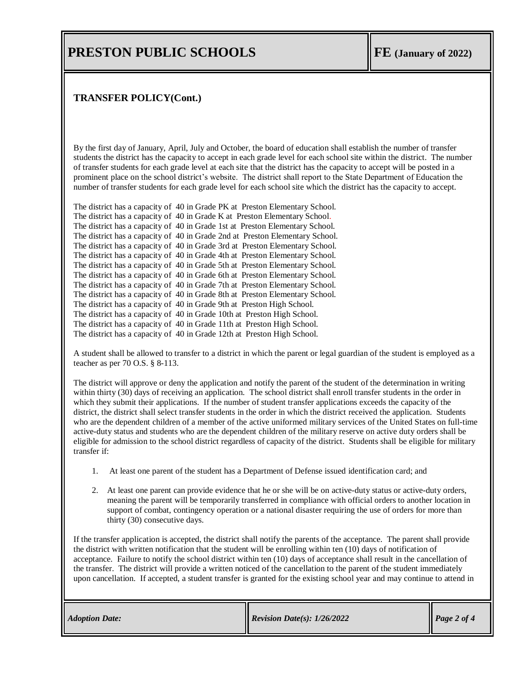### **PRESTON PUBLIC SCHOOLS FE** *FE FE FE*

#### **TRANSFER POLICY(Cont.)**

By the first day of January, April, July and October, the board of education shall establish the number of transfer students the district has the capacity to accept in each grade level for each school site within the district. The number of transfer students for each grade level at each site that the district has the capacity to accept will be posted in a prominent place on the school district's website. The district shall report to the State Department of Education the number of transfer students for each grade level for each school site which the district has the capacity to accept.

The district has a capacity of 40 in Grade PK at Preston Elementary School. The district has a capacity of 40 in Grade K at Preston Elementary School. The district has a capacity of 40 in Grade 1st at Preston Elementary School. The district has a capacity of 40 in Grade 2nd at Preston Elementary School. The district has a capacity of 40 in Grade 3rd at Preston Elementary School. The district has a capacity of 40 in Grade 4th at Preston Elementary School. The district has a capacity of 40 in Grade 5th at Preston Elementary School. The district has a capacity of 40 in Grade 6th at Preston Elementary School. The district has a capacity of 40 in Grade 7th at Preston Elementary School. The district has a capacity of 40 in Grade 8th at Preston Elementary School. The district has a capacity of 40 in Grade 9th at Preston High School. The district has a capacity of 40 in Grade 10th at Preston High School. The district has a capacity of 40 in Grade 11th at Preston High School. The district has a capacity of 40 in Grade 12th at Preston High School.

A student shall be allowed to transfer to a district in which the parent or legal guardian of the student is employed as a teacher as per 70 O.S. § 8-113.

The district will approve or deny the application and notify the parent of the student of the determination in writing within thirty (30) days of receiving an application. The school district shall enroll transfer students in the order in which they submit their applications. If the number of student transfer applications exceeds the capacity of the district, the district shall select transfer students in the order in which the district received the application. Students who are the dependent children of a member of the active uniformed military services of the United States on full-time active-duty status and students who are the dependent children of the military reserve on active duty orders shall be eligible for admission to the school district regardless of capacity of the district. Students shall be eligible for military transfer if:

- 1. At least one parent of the student has a Department of Defense issued identification card; and
- 2. At least one parent can provide evidence that he or she will be on active-duty status or active-duty orders, meaning the parent will be temporarily transferred in compliance with official orders to another location in support of combat, contingency operation or a national disaster requiring the use of orders for more than thirty (30) consecutive days.

If the transfer application is accepted, the district shall notify the parents of the acceptance. The parent shall provide the district with written notification that the student will be enrolling within ten (10) days of notification of acceptance. Failure to notify the school district within ten (10) days of acceptance shall result in the cancellation of the transfer. The district will provide a written noticed of the cancellation to the parent of the student immediately upon cancellation. If accepted, a student transfer is granted for the existing school year and may continue to attend in

| <b>Adoption Date:</b> | <b>Revision Date(s): <math>1/26/2022</math></b> | Page 2 of 4 |
|-----------------------|-------------------------------------------------|-------------|
|-----------------------|-------------------------------------------------|-------------|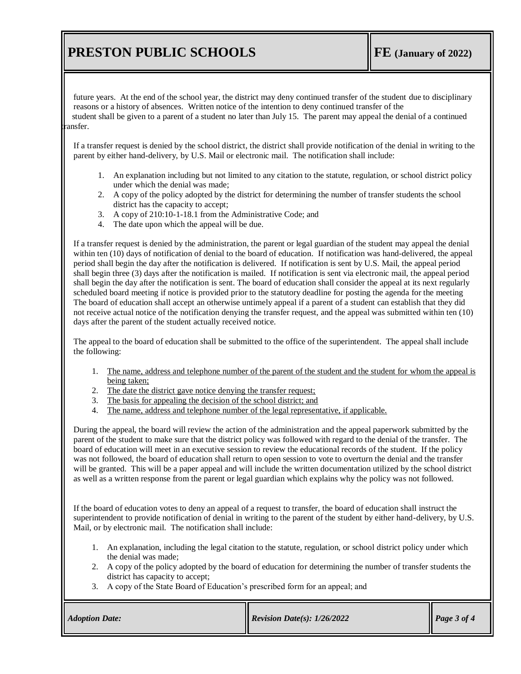# **PRESTON PUBLIC SCHOOLS FE** *FE FE FE*

future years. At the end of the school year, the district may deny continued transfer of the student due to disciplinary reasons or a history of absences. Written notice of the intention to deny continued transfer of the student shall be given to a parent of a student no later than July 15. The parent may appeal the denial of a continued ansfer.

If a transfer request is denied by the school district, the district shall provide notification of the denial in writing to the parent by either hand-delivery, by U.S. Mail or electronic mail. The notification shall include:

- 1. An explanation including but not limited to any citation to the statute, regulation, or school district policy under which the denial was made;
- 2. A copy of the policy adopted by the district for determining the number of transfer students the school district has the capacity to accept;
- 3. A copy of 210:10-1-18.1 from the Administrative Code; and
- 4. The date upon which the appeal will be due.

If a transfer request is denied by the administration, the parent or legal guardian of the student may appeal the denial within ten (10) days of notification of denial to the board of education. If notification was hand-delivered, the appeal period shall begin the day after the notification is delivered. If notification is sent by U.S. Mail, the appeal period shall begin three (3) days after the notification is mailed. If notification is sent via electronic mail, the appeal period shall begin the day after the notification is sent. The board of education shall consider the appeal at its next regularly scheduled board meeting if notice is provided prior to the statutory deadline for posting the agenda for the meeting The board of education shall accept an otherwise untimely appeal if a parent of a student can establish that they did not receive actual notice of the notification denying the transfer request, and the appeal was submitted within ten (10) days after the parent of the student actually received notice.

The appeal to the board of education shall be submitted to the office of the superintendent. The appeal shall include the following:

- 1. The name, address and telephone number of the parent of the student and the student for whom the appeal is being taken;
- 2. The date the district gave notice denying the transfer request;
- 3. The basis for appealing the decision of the school district; and
- 4. The name, address and telephone number of the legal representative, if applicable.

During the appeal, the board will review the action of the administration and the appeal paperwork submitted by the parent of the student to make sure that the district policy was followed with regard to the denial of the transfer. The board of education will meet in an executive session to review the educational records of the student. If the policy was not followed, the board of education shall return to open session to vote to overturn the denial and the transfer will be granted. This will be a paper appeal and will include the written documentation utilized by the school district as well as a written response from the parent or legal guardian which explains why the policy was not followed.

If the board of education votes to deny an appeal of a request to transfer, the board of education shall instruct the superintendent to provide notification of denial in writing to the parent of the student by either hand-delivery, by U.S. Mail, or by electronic mail. The notification shall include:

- 1. An explanation, including the legal citation to the statute, regulation, or school district policy under which the denial was made;
- 2. A copy of the policy adopted by the board of education for determining the number of transfer students the district has capacity to accept;
- 3. A copy of the State Board of Education's prescribed form for an appeal; and

| <b>Adoption Date:</b> | <b>Revision Date(s): <math>1/26/2022</math></b> | Page $3$ of $4$ |
|-----------------------|-------------------------------------------------|-----------------|
|-----------------------|-------------------------------------------------|-----------------|